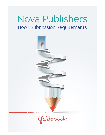# Nova Publishers **Book Submission Requirements**

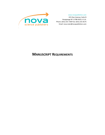www.novapublishers.com

415 Oser Avenue, Suite N Hauppauge NY 11788-3619, U.S.A. Phone: (631) 231-7269 Fax: (631) 231-8175 Email[: nova.main@novapublishers.com](mailto:nova.main@novapublishers.com)



# **MANUSCRIPT REQUIREMENTS**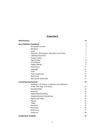## **CONTENTS**

| <b>Staff Directory</b>                              | vii            |
|-----------------------------------------------------|----------------|
| <b>Nova Publishers Guidebook</b>                    | $\mathbf{1}$   |
| <b>Acceptable Formats</b>                           | 3              |
| MS Word                                             | 3              |
| Latex                                               | 3              |
| Diagrams, Photographs, Illustrations and Charts     | 5              |
| Labeling Instructions                               | $\overline{7}$ |
| Chapter Folder                                      | $\tau$         |
| Figure Folder                                       | $8\,$          |
| <b>Front Matter</b>                                 | $\,8\,$        |
| <b>English Editing</b>                              | 9              |
| Permissions                                         | 11             |
| Copyright                                           | 11             |
| Color                                               | 13             |
| Color Graphic Fee                                   | 13             |
| <b>Book Cover</b>                                   | 15             |
| Manuscript Submission                               | 17             |
| <b>Formatting Requirements</b>                      | 19             |
| Spelling of All Names, Credentials and Affiliations |                |
| on the Title Page of the Book                       | 21             |
| <b>Running Heads</b>                                | 23             |
| Grammar                                             | 25             |
| English/British Spelling                            | 27             |
| <b>Chapters/Sections Numbering</b>                  | 29             |
| <b>Figures and Tables</b>                           | 31             |
| <b>Figures</b>                                      | 31             |
| <b>Tables</b>                                       | 31             |
| Equations                                           | 33             |
| Footnotes                                           | 35             |
| References                                          | 37             |
| <b>Check List</b>                                   | 39             |
| <b>Sample Book Template</b>                         | 41             |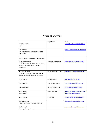# **STAFF DIRECTORY**

|                                                     | Department                     | Email                              |
|-----------------------------------------------------|--------------------------------|------------------------------------|
| Nadya Columbus                                      |                                | n.columbus@novapublishers.com      |
| CEO                                                 |                                |                                    |
|                                                     |                                |                                    |
| Donna Dennis                                        |                                | donna.dennis@novapublishers.com    |
| Vice-President and Head of the Editorial            |                                |                                    |
| Department                                          |                                |                                    |
| <b>Initial Stages of Book Publication Contacts:</b> |                                |                                    |
| Thomas Mazzaferro                                   | <b>Contracts Department</b>    | Contracts@novapublishers.com       |
| (Questions about Contracts Receipt, Terms,          |                                |                                    |
| <b>Status of Contracts and Manuscript</b>           |                                |                                    |
| Extensions)                                         |                                |                                    |
|                                                     |                                |                                    |
| <b>Matthew Attanasio</b>                            | <b>Acquisitions Department</b> | acquisitions@novapublishers.com    |
| (Questions about Book Submission, Book              |                                |                                    |
| <b>Statuses and Book Submission Guidelines)</b>     |                                |                                    |
| <b>Taylor Schultz</b>                               | Art Department                 | art@novapublishers.com             |
|                                                     |                                |                                    |
| Louis Maurici                                       | Journals Department            | Journals@novapublishers.com        |
|                                                     |                                |                                    |
| Harold Gonzalez                                     | <b>Printing Department</b>     | Harold@novapublishers.com          |
|                                                     |                                |                                    |
| Vera Popovic                                        | <b>Billing Inquiries</b>       | billing.central@novapublishers.com |
| Lorraine Kelly                                      |                                | billing@novapublishers.com         |
| Lisa Gambino                                        | Marketing                      | marketing@novapublishers.com       |
|                                                     |                                |                                    |
| Denise Amorosa                                      |                                | d.amorosa@novapublishers.com       |
| (eBook Inquiries and Website Changes)               |                                |                                    |
| Stella Mottola                                      |                                | nova.main@novapublishers.com       |
| (For any other questions)                           |                                |                                    |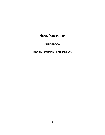# **NOVA PUBLISHERS**

# **GUIDEBOOK**

**BOOK SUBMISSION REQUIREMENTS**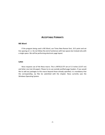## **ACCEPTABLE FORMATS**

## **MS Word**

If the program being used is MS Word, use Times New Roman font, 10.5 point and set line spacing at 1.1. Do not follow the end of sentences with two spaces but instead only with a single space. We will be performing electronic page layout.

## **Latex**

Nova requests use of the Nova macro. This is ARTICLE.STY set at 5.5 inches (13.97 cm) and letter size (not A4 paper). Please try to use outside justified page headers. If you would like to add any packages to this macro beyond those already specified, it is mandatory that the corresponding .sty files be submitted with the chapter. Nova currently uses the Windows Operating System.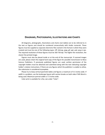## **DIAGRAMS, PHOTOGRAPHS, ILLUSTRATIONS AND CHARTS**

All diagrams, photographs, illustrations and charts (*not tables*) are to be referred to in the text as Figures and should be numbered consecutively with Arabic numerals. These figures must be supplied as separate electronic files named in the format in which they were created and must be one of the following types: tiff, bitmap, jpeg, gif, ppt, psd, png or eps. The required resolution of these figures must be 350-750 dpi. The higher the resolution, the clearer the printed image.

Figures must also be placed inside or at the end of the manuscript. If scanned images are used, please retain the original hard copy of the figure for possible transmission to Nova Science Publishers. If previously published figures are used, written permission of the copyright holders must be obtained and submitted along with the text indicating copyright holder's citation instructions. If there are any figures which the publisher is unable to utilize, the submission is considered incomplete.

Please try to keep vertical (*portrait*) tables and figures a maximum of 5.5 inches wide. If width is a problem, use the landscape layout with section breaks on both sides if MS Word is being used. Maximum portrait width is 7.5 inches wide.

Color print is available for a fee, see under "Color".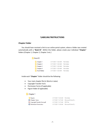## **LABELING INSTRUCTIONS**

## **Chapter Folder**

You should have received a link to our online portal system, where a folder was created automatically with a "**Book ID**". Within this folder, please create your individual "**Chapter**" folders (Chapter 1, Chapter 2, Chapter 3 etc.)



Inside each "**Chapter**" folder should be the following:

- Your main chapter file (in Word or Latex)
- Copyright Transfer Form
- Permission Forms (if applicable)
- Figure Folder (if applicable)

#### Chapter 1

| Figures                                                          | 3/17/2021 11:43 AM File folder      |  |
|------------------------------------------------------------------|-------------------------------------|--|
| · Chapter 1.docx                                                 | 3/17/2021 11:37 AM Microsoft Word D |  |
| Copyright Transfer Form.pdf                                      | 3/17/2021 11:37 AM PDF File         |  |
| $\stackrel{\scriptsize\textsf{w}}{\equiv}$ Permission Forms.docx | 3/17/2021 11:38 AM Microsoft Word D |  |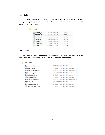## **Figure Folder**

If you are submitting figures, please place them in the "**Figure**" folder you created and labeling all original figures properly. These labels must match within the text file so we know where to place the images.

| <b>Figures</b>     |                    |          |
|--------------------|--------------------|----------|
| FIGURE 1.qif<br>圖  | 3/10/2017 10:43 AM | GIF File |
| FIGURE 2.gif<br>鬞  | 3/10/2017 10:44 AM | GIF File |
| FIGURE 3.gif<br>阊  | 3/10/2017 10:45 AM | GIF File |
| FIGURE 4.gif<br>圜  | 1/27/2017 1:50 PM  | GIF File |
| FIGURE 5a.gif<br>洞 | 1/27/2017 5:24 PM  | GIF File |
| FIGURE 5b.gif<br>圖 | 1/29/2017 2:24 PM  | GIF File |
| FIGURE 5c.gif<br>国 | 1/27/2017 5:21 PM  | GIF File |

## **Front Matter**

Create a folder label "**Front Matter**." Please make sure they are all labeled as in the example below. All additional files should also be included in this folder.

#### Front Matter

 $\overline{\phantom{a}}$ 

| 闡 Acknowledgments.docx       | 3/17/2021 12:27 PM | Microsoft Word D                    |
|------------------------------|--------------------|-------------------------------------|
| <sup>中</sup> Acronyms.docx   | 3/17/2021 12:34 PM | Microsoft Word D                    |
| ■ Book Description.docx      | 3/17/2021 12:27 PM | Microsoft Word D                    |
| ■ Cover Suggestions.docx     | 3/17/2021 12:28 PM | Microsoft Word D                    |
| <sup>咖</sup> Dedication.docx | 3/17/2021 12:28 PM | Microsoft Word D                    |
| ■ Endorsement.docx           | 3/17/2021 12:34 PM | Microsoft Word D                    |
| ■ Index of Terms.docx        | 3/17/2021 12:29 PM | Microsoft Word D                    |
| <sup>咖</sup> Preface.docx    | 3/17/2021 12:34 PM | Microsoft Word D                    |
| ■ Questionaire.docx          | 3/17/2021 12:28 PM | Microsoft Word D                    |
| ■ Table of Contents.docx     |                    | 3/17/2021 12:27 PM Microsoft Word D |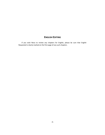## **ENGLISH EDITING**

If you wish Nova to review any chapters for English, please be sure that English Requested is clearly marked on the first page of any such chapters.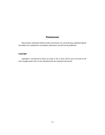## **PERMISSIONS**

Manuscripts submitted without proper permissions for all previously published figures and tables are considered as incomplete submissions and will not be published.

## **Copyright**

Copyright is transferred to Nova via email or fax. A form will be sent via email at the time of page proofs and is to be submitted with the reviewed manuscript.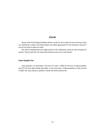## **COLOR**

Please note that the figures/tables will be in color for the e-book version (as long as they are submitted in color) and printed black and white (grayscale) for the hardcover version if you do not want to place an order.

We will be sending electronic page proofs as the publication works its way through the system. These proofs do not necessarily indicate color use or lack thereof.

#### **Color Graphic Fee**

Color graphics are permitted. The price for color is \$500 for the first 10 figures/tables plus \$75 for each figure/table thereafter. If you only have 1-2 figures/tables of color the fee is \$300. You may choose to publish in black and white without fee.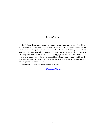## **BOOK COVER**

Nova's Cover Department creates the book design. If you wish to submit an idea, a sample of the cover may be sent for our review. If you would like to provide specific images, you must own the rights to them or they must be from a stock photography website, copyright and royalty free. Please provide the link to where you obtained the images, as well. Images must be 300 dpi or greater. Due to copyright restrictions, images found on the internet or scanned from books cannot be used in any form, including modified. Please also note that, as stated in the contract, Nova retains the right to make the final decision regarding any content of the cover.

For any questions, please contact our art department:

*[art@novapublishers.com](mailto:art@novapublishers.com)*.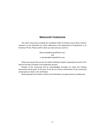## **MANUSCRIPT SUBMISSION**

The entire manuscript including the completed Table of Contents and all other relevant material is to be submitted via courier addressed to the Department of Acquisitions or to the Nova FTP site. Please confirm when you have sent your work to:

> Manuscripts@novapublishers.com. and n.columbus@novapublishers.com.

Please we request that you do not submit individual chapters separately by email as this leads to lost files and delay in the publication process.

Receipt of the manuscript will be acknowledged promptly via email and tracking information will be given at this time. If you do not receive confirmation of the manuscript receipt please contact us for verification.

Book proposals from Authors, Editors and Contributors are given priority consideration.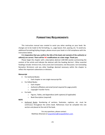## **FORMATTING REQUIREMENTS**

This instruction manual was created to assist you when working on your book. No changes are to be made to the formatting, i.e., page layout, font, spacing, etc. To avoid any additional formatting/styling charges, please ensure your book is in full compliance with the instructions below.

**It is imperative that you confirm the title of the book and name(s) of the author(s) or editor(s) are correct. There will be NO modifications at a later stage. Thank you.**

Please begin the chapter with a descriptive abstract (100-400 words) summarizing the content of the article and indicate the abstract with the heading ABSTRACT. Other essential headings include: INTRODUCTION, CONCLUSION (not Conclusions; not Discussion; not Concluding Remarks); REFERENCES and any other headings deemed necessary within the chapter to reflect the important subsections or divisions.

#### **Manuscript**

- For Authored Books:
	- o Each chapter or one single manuscript file
- For Edited Books:
	- o Each chapter
	- o Author(s) affiliation and email (email required for page proofs)
	- o Copyright Transfer Forms
- For both:
	- o Figures, Tables, and Appendices (with captions) (if applicable)
	- o Book Description (required)

#### **NOTE**

• Authored Books: Numbering of sections, footnotes, captions, etc. must be continuous throughout the entire book. References must be compiled into one section and placed at the end of the book.

> For any questions, please contact: Matthew Attanasio at [acquisitions@novapublishers.com.](mailto:acquisitions@novapublishers.com)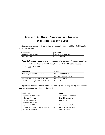## **SPELLING OF ALL NAMES, CREDENTIALS AND AFFILIATIONS ON THE TITLE PAGE OF THE BOOK**

*Author names* should be listed as first name, middle name or middle initial (if used), last name (surname).

| <b>INCORRECT</b>       | <b>CORRECT</b>        |
|------------------------|-----------------------|
| Anderson. John Michael | John Michael Anderson |
| Anderson. J. M.        | J. M. Anderson        |

*Credentials (academic degrees)* can only appear *after* the author's name, not before.

- "Professor, Director, PhD Student, Dr., BA, BS" should not be included:
- *Only* MD or PhD

| <b>INCORRECT</b>                      | <b>CORRECT</b>           |
|---------------------------------------|--------------------------|
| Professor, Dr. John M. Anderson       | John M. Anderson, MD or  |
|                                       | John M. Anderson, PhD or |
| Professor, John M. Anderson, Director | John M. Anderson         |
| John M. Anderson, PhD Student, BA, BS | John M. Anderson         |

*Affiliations* must include City, State (if it applies) and Country. No zip codes/postal codes or street addresses should be included.

| <b>INCORRECT</b>                               | <b>CORRECT</b>                 |
|------------------------------------------------|--------------------------------|
| Department of Medicine                         | Department of Medicine         |
| Columbia University                            | Columbia University            |
| 116th St & Broadway                            | New York, NY, US               |
| New York, NY 10027                             |                                |
| Department of Medicine                         | Department of Medicine         |
| Moscow State University ul. Leninskiye Gory, 1 | <b>Moscow State University</b> |
| Moscow, Russia 119991                          | Moscow, Russia                 |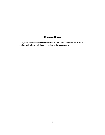## **RUNNING HEADS**

If you have variations from the chapter titles, which you would like Nova to use as the Running Heads, please mark that at the beginning of any such chapter.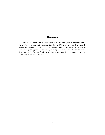## **GRAMMAR**

Please use the words "this chapter" rather than "this article, this study or my work" in the text. Within this context, remember that the word 'data' is plural, i.e. data are…. Also consider for purposes of presentation that the word 'research' and 'evidence' are collective nouns calling for appropriate adjectives, verb agreement etc. Thus, 'research/evidence shows/presents' or 'research/evidence has shown, is presented' etc. Do not use researches or evidences in submitted chapters.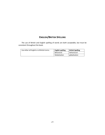# **ENGLISH/BRITISH SPELLING**

The use of British and English spelling of words are both acceptable, but must be consistent throughout the book.

| Use either all English or all British terms. | <b>English spelling</b> | <b>British Spelling</b> |
|----------------------------------------------|-------------------------|-------------------------|
|                                              | Behavioral              | behavioural             |
|                                              | Globalization           | globalisation           |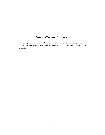## **CHAPTERS/SECTIONS NUMBERING**

Although numbering of sections within chapters is not necessary, however, if numbers are used, they must be correctly labeled and should be *consistent from chapter to chapter*.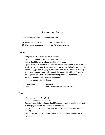## **FIGURES AND TABLES**

Tables and figures should be numbered in order.

- (a) Author books must be continuous throughout the book;
- (b) Editor books must begin with number "1" at each chapter

## **Figures**

- All figures must be clear and easily readable
- Figures and captions text should be in English.
- Picture should be centered and caption, left-aligned.
- Figures must be supplied as separate electronic files named in the format in which they were created and must be in *one of the following formats*: tiff, bitmap, jpeg, gif, ppt, psd, png or eps. Please note the placement of each figure within your chapter. You can also submit the manuscript with the figures within the chapter but must also provide separate figure files as mentioned above.
- All figures requires a full caption(s) (see below)
- Set figure caption *after* the figure.

| <b>INCORRECT</b> | <b>CORRECT</b>                             |
|------------------|--------------------------------------------|
| Figure 1.        | Figure 1. Number of days attending school. |

## **Tables**

- All tables requires a full caption(s)
- Set table caption *before* the table
- If possible, each individual table should fit to one page. If it must be split over 2 or more pages, column headers should be repeated
- The use of bold text should be avoided (except in chapter titles and section headings).
- You may use any font size ranging from 8 to 10 point. Page layout will do all aspects of the formatting.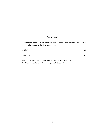## **EQUATIONS**

All equations must be clear, readable and numbered sequentially. The equation number must be aligned to the right margin e.g.;

| $(A+B)=C$ | (1) |
|-----------|-----|
|           |     |

$$
(1+2=3)+2=5
$$
 (2)

Author books must be continuous numbering throughout the book. Word Equation editor or MathType usage are both acceptable.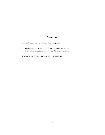## **FOOTNOTES**

Ensure all footnotes are numbered correctly and:

- a) Author books must be continuous throughout the book or;
- b) Editor books must begin with number "1" at each chapter

References are not to be included with the footnotes.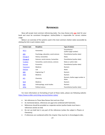## **REFERENCES**

Nova will accept most common referencing styles. You may choose only **one** style for your book and must be consistent throughout. Author/Editor is responsible for correct citation usage.

Below is an overview of the systems used in the most common citation styles (accessible by clicking the link in each citation style).

| <b>Citation style</b> | <b>Disciplines</b>                     | Type of citation                               |
|-----------------------|----------------------------------------|------------------------------------------------|
| <b>MLA</b>            | <b>Humanities</b>                      | Parenthetical<br>(author-page number)          |
| <b>APA</b>            | Psychology, education, social sciences | Parenthetical (author-date)                    |
| <b>Chicago A</b>      | History, humanities                    | <b>Notes</b>                                   |
| <b>Chicago B</b>      | Sciences, social sciences, humanities  | Parenthetical (author-date)                    |
| <b>Turabian</b>       | Humanities, social sciences, sciences  | Notes or author-date                           |
| Harvard               | Economics                              | Parenthetical (author-date)                    |
| Vancouver             | Medicine                               | <b>Numeric</b>                                 |
| <b>OSCOLA</b>         | Law                                    | <b>Notes</b>                                   |
| <b>IEEE</b>           | Engineering, IT                        | <b>Numeric</b>                                 |
| <b>AMA</b>            | Medicine                               | <b>Numeric</b>                                 |
| <b>ACS</b>            | Chemistry                              | Numeric, Author-page number or<br><b>Notes</b> |
| <b>NLM</b>            | Medicine                               | <b>Numeric</b>                                 |
| <b>AAA</b>            | Anthropology, social studies           | <b>Numeric</b>                                 |
| <b>APSA</b>           | <b>Political science</b>               | Parenthetical (author-date)                    |

For more information on formatting of each of these styles, please see following website: <https://www.scribbr.com/citing-sources/citation-styles/>

- Set references to Times New Roman font and size 10 pt.
- As mentioned above, references are not to be combined with footnotes.
- References should be provided as a separate section (author books must have a references section at end)
- Do not use bold text in any part of the references (unless the subject is Physics or Chemistry).
- If references are numbered within the chapter they must be in chronological order,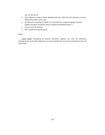e.g., [1], [2], [3], etc.

- If the reference section is shown alphabetically, then within the text references must be reflected by author name, year.
- All references should be in English. It can be cited in its original language, however, English translation should be shown in brackets immediately after [ ].
- Sources must be italicized.
- URL's should be properly spaced.

#### *NOTE:*

*Author Books*: *Numbering of sections, footnotes, captions, etc. must be continuous throughout the entire book. References must be compiled into one section and placed at the end of the book.*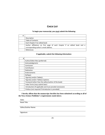## **CHECK LIST**

## **To begin your manuscript, you must submit the following:**

| ν |                                                                                                                   |  |  |
|---|-------------------------------------------------------------------------------------------------------------------|--|--|
|   | Description                                                                                                       |  |  |
|   | <b>Table of Contents</b>                                                                                          |  |  |
|   | Each Chapter if an edited book                                                                                    |  |  |
|   | Author affiliations on first page of each chapter if an edited book and a<br>corresponding author's email address |  |  |
|   | References                                                                                                        |  |  |

#### **If** *applicable***, submit the following information:**

| Author/Editor Bios (preferred)                           |
|----------------------------------------------------------|
| Acknowledgments                                          |
| Conclusion                                               |
| Contributors                                             |
| Dedication                                               |
| Endorsements                                             |
| Epilogue                                                 |
| Figure(s) and/or Table(s)                                |
| Figure(s) and/or Table(s) Captions                       |
| Foreword (other than the editor/author of the book)      |
| Index Terms (may submit later)                           |
| Introduction (if applicable and must provide Conclusion) |
| Preface (not required if Introduction is provided)       |

**I hereby affirm that the manuscript checklist has been submitted according to all of the Nova Science Publisher's requirements stated above.**

Date:

Book Title:

Editor/Author Name:

Signature: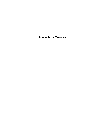**SAMPLE BOOK TEMPLATE**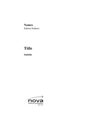# **Names**

Editors/Authors

# **Title**

**Subtitle**

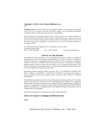#### **Copyright © 2022 by Nova Science Publishers, Inc.** DOI:

**All rights reserved.** No part of this book may be reproduced, stored in a retrieval system or transmitted in any form or by any means: electronic, electrostatic, magnetic, tape, mechanical photocopying, recording or otherwise without the written permission of the Publisher.

We have partnered with Copyright Clearance Center to make it easy for you to obtain permissions to reuse content from this publication. Simply navigate to this publication's page on Nova's website and locate the "Get Permission" button below the title description. This button is linked directly to the title's permission page on copyright.com. Alternatively, you can visit copyright.com and search by title, ISBN, or ISSN.

For further questions about using the service on copyright.com, please contact: Copyright Clearance Center Phone: +1-(978) 750-8400 Fax: +1-(978) 750-4470 E-mail: info@copyright.com.

#### **NOTICE TO THE READER**

The Publisher has taken reasonable care in the preparation of this book, but makes no expressed or implied warranty of any kind and assumes no responsibility for any errors or omissions. No liability is assumed for incidental or consequential damages in connection with or arising out of information contained in this book. The Publisher shall not be liable for any special, consequential, or exemplary damages resulting, in whole or in part, from the readers' use of, or reliance upon, this material. Any parts of this book based on government reports are so indicated and copyright is claimed for those parts to the extent applicable to compilations of such works.

Independent verification should be sought for any data, advice or recommendations contained in this book. In addition, no responsibility is assumed by the Publisher for any injury and/or damage to persons or property arising from any methods, products, instructions, ideas or otherwise contained in this publication.

This publication is designed to provide accurate and authoritative information with regard to the subject matter covered herein. It is sold with the clear understanding that the Publisher is not engaged in rendering legal or any other professional services. If legal or any other expert assistance is required, the services of a competent person should be sought. FROM A DECLARATION OF PARTICIPANTS JOINTLY ADOPTED BY A COMMITTEE OF THE AMERICAN BAR ASSOCIATION AND A COMMITTEE OF PUBLISHERS.

Additional color graphics may be available in the e-book version of this book.

#### **Library of Congress Cataloging-in-Publication Data**

ISBN:

*Published by Nova Science Publishers, Inc. † New York*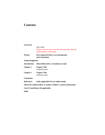# **Contents**

| Foreword                                                         | John Smith<br>(Name of person who wrote the foreword other than the |  |  |
|------------------------------------------------------------------|---------------------------------------------------------------------|--|--|
|                                                                  | authors/editors of the book)                                        |  |  |
| <b>Preface</b>                                                   | (Not required if there is an Introduction<br>and Conclusion)        |  |  |
| <b>Acknowledgments</b>                                           |                                                                     |  |  |
| <b>Introduction</b>                                              | (Must followed by a Conclusion at end)                              |  |  |
| <b>Chapter 1</b>                                                 | <b>Chapter Title</b><br>Author(s) name                              |  |  |
| <b>Chapter 2</b>                                                 | <b>Chapter Title</b><br>Author(s) name                              |  |  |
| <b>Conclusion</b>                                                |                                                                     |  |  |
| <b>References</b>                                                | (Only applicable if its an author book)                             |  |  |
| About the Author/Editor or Author's/Editor's Contact Information |                                                                     |  |  |
|                                                                  | List of Contributors (if applicable)                                |  |  |
| <b>Index</b>                                                     |                                                                     |  |  |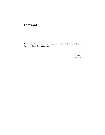# **Foreword**

This section should be the name of the person who wrote the foreword other than the authors/editors of the book.

> *Nova New York*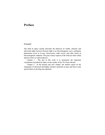# **Preface**

#### *Example:*

The field of optics usually describes the behavior of visible, infrared, and ultraviolet light; however because light is an electromagnetic wave, analogous phenomena occur in X-rays, microwaves, radio waves, and other forms of electromagnetic radiation. The pure science aspects of the field are often called optical science or optical physics.

Chapter 1 - The aim of this work is to summarize the important contribution furnished by Optics in the studies of the TS (Turin Shroud.

Chapter 2 - In the present and next chapter, the authors report on the integration of advanced and highly sensitive materials at nano and micro scale optical fibers to develop new photonic.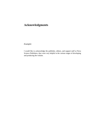# **Acknowledgments**

*Example:*

I would like to acknowledge the publisher, editors, and support staff at Nova Science Publishers, they were very helpful in the various stages of developing and producing the volume.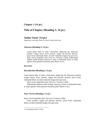## **Chapter 1 (14 pt.)**

## **Title of Chapter (Heading 1, 16 pt.)**

## **Author Name\* (14 pt.)**

Department, University Name, City and Country (size 9 pt.)

## **Abstract (Heading 2, 12 pt.)**

Lorem ipsum dolor sit amet, consectetuer adipiscing elit. Maecenas porttitor congue massa. Fusce posuere, magna sed pulvinar ultricies, purus lectus malesuada libero, sit amet commodo magna eros quis urna. Nunc viverra imperdiet enim. Fusce est. Vivamus a tellus. Pellentesque habitant morbi tristique senectus et netus et malesuada fames ac turpis egestas. Proin pharetra nonummy pede. Mauris et orci.

#### **Keywords**:

## **Introduction (Heading 2, 12 pt.)**

Lorem ipsum dolor sit amet, consectetuer adipiscing elit. Maecenas porttitor congue massa. Fusce posuere, magna sed pulvinar ultricies, purus lectus malesuada libero, sit amet commodo magna eros quis urna.

Nunc viverra imperdiet enim. Fusce est. Vivamus a tellus.

Pellentesque habitant morbi tristique senectus et netus et malesuada fames ac turpis egestas. Proin pharetra nonummy pede. Mauris et orci.

## **Nunc Viverra (Heading 3, 11 pt.)**

Nunc viverra imperdiet enim. Fusce est. Vivamus a tellus.

Fusce posuere, magna sed pulvinar ultricies, purus lectus malesuada libero, sit amet commodo magna eros quis urna.

<sup>\*</sup> Corresponding Author's Email: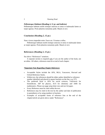#### *Pellentesque Habitant* **(Heading 4, 11 pt. and italicize)**

Pellentesque habitant morbi tristique senectus et netus et malesuada fames ac turpis egestas. Proin pharetra nonummy pede. Mauris et orci.

#### **Conclusion (Heading 2, 12 pt.)**

Nunc viverra imperdiet enim. Fusce est. Vivamus a tellus.

Pellentesque habitant morbi tristique senectus et netus et malesuada fames ac turpis egestas. Proin pharetra nonummy pede. Mauris et orci.

## **References (Heading 2, 12 pt.)**

See above "References" notations.

A separate section is required only if you are the author of the book, not an editor. All others, references must be at end of each chapter.

#### *\*Important Note Regarding Chapter References*

- Acceptable Styles include the APA, MLA, Vancouver, Harvard and Oxford Reference Styles.
- Within text, the references should be either author identified or reference number identified and placed in square brackets on the line, e.g. [37].
- The preferred Style is APA for social sciences, Vancouver for biomedicine, AIP for physics, ACS for chemistry and AMS for mathematics. Please use page setup letter size and not A4 paper.
- Every Reference must be cited within the text.
- References may be cited in the text by the author and date of publication in parenthesis or by using numbers in brackets.
- Examples of acceptable forms of reference lists at the end of the chapter/article are given above under "References".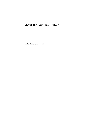# **About the Authors/Editors**

(Author/Editor of the book)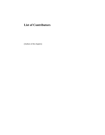# **List of Contributors**

(Authors of the chapters)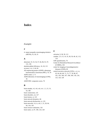## **Index**

## *Example:*

#### **#**

4- repeat tauopathy neuroimaging initiative (4RTNI), 35, 36, 55

## **A**

abnormal, 33, 53, 54, 57, 66, 86, 91, 97, 131, 136 absolute global efficiency, 16, 18, 115 accuracy, xvi, 2, 64, 66 AD sequencing project (ADSP)- phenotype harmonization consortium (PHC), 70, 70 ADNI center, 5, 71 ADNI laboratory of neuroimaging (LONI), 36 ADSP-PHC composite scores, 70

## **B**

brain atrophy, vii, viii, xiii, xiv, 1, 2, 21, 31, 54, 100 brain connectome, 125 brain disorders, xii, 127 brain lesions, xi, 123 brain network dynamics, 66 brain network dysfunction, xi, 125 brain networks, vii, ix, xiii, 1, 21, 28, 64, 94, 134, 136 brain resource utilization, 126 brain states, xi, 87, 100, 124, 128

## **C**

calcarine, 9, 38, 39, 113

caudate, 3, 9, 13, 14, 33, 38, 39, 40, 42, 113, 116

CBF quantification, 70

Center for Biomedical Research Excellence (COBRE), 104

center for imaging of neurodegenerative diseases (CIND), 69

central executive network (CEN), x, xi, xv, 63, 64, 66, 68, 71, 73, 77, 78, 86, 87, 101, 103, 106, 107, 108, 109, 118, 124, 125, 126, 128